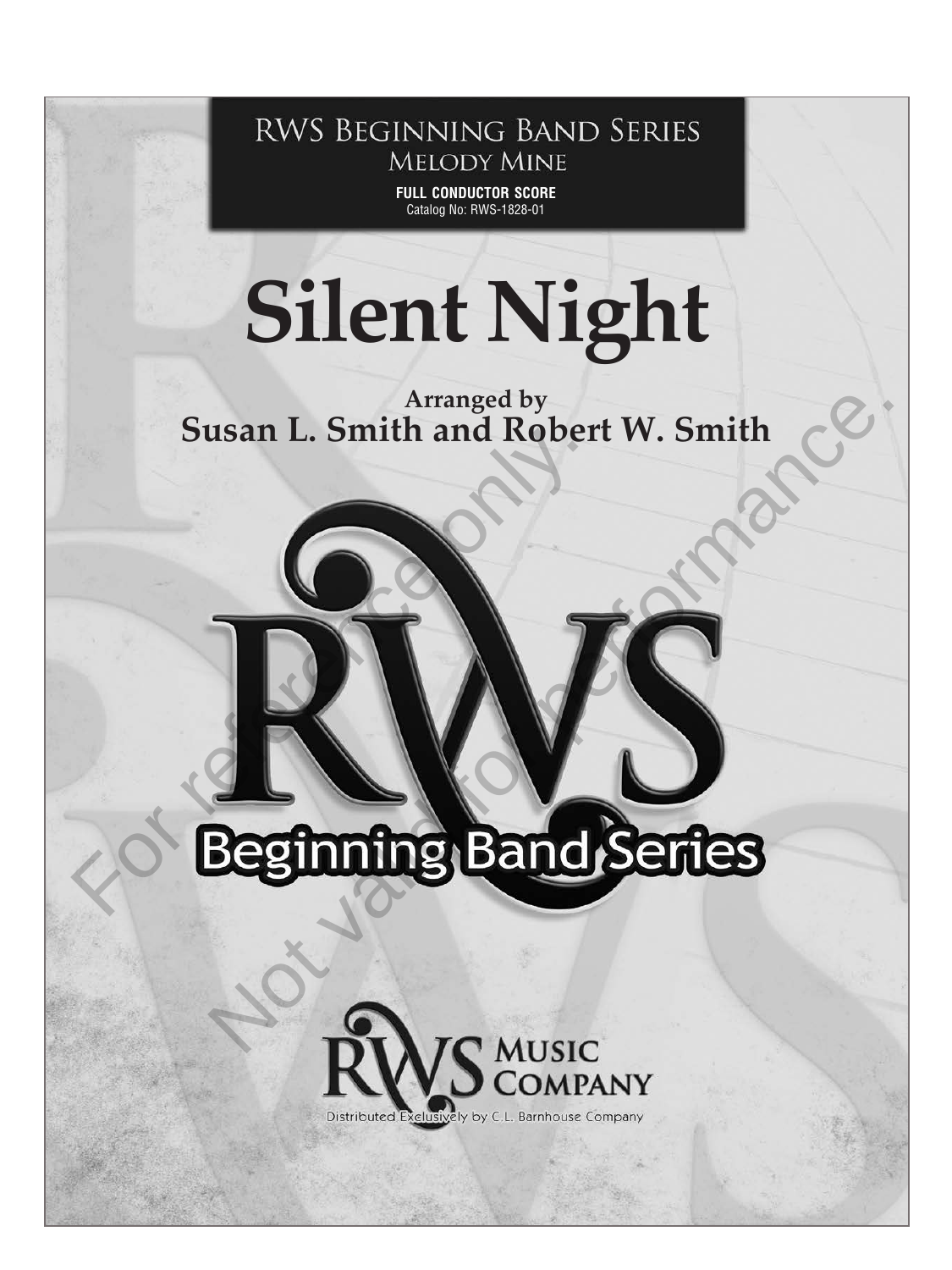

**FULL CONDUCTOR SCORE** Catalog No: RWS-1828-01

## **Silent Night**

#### **Arranged by Susan L. Smith and Robert W. Smith**

# Susan L. Smith and Robert usan L. Smith and Robert W. Smith

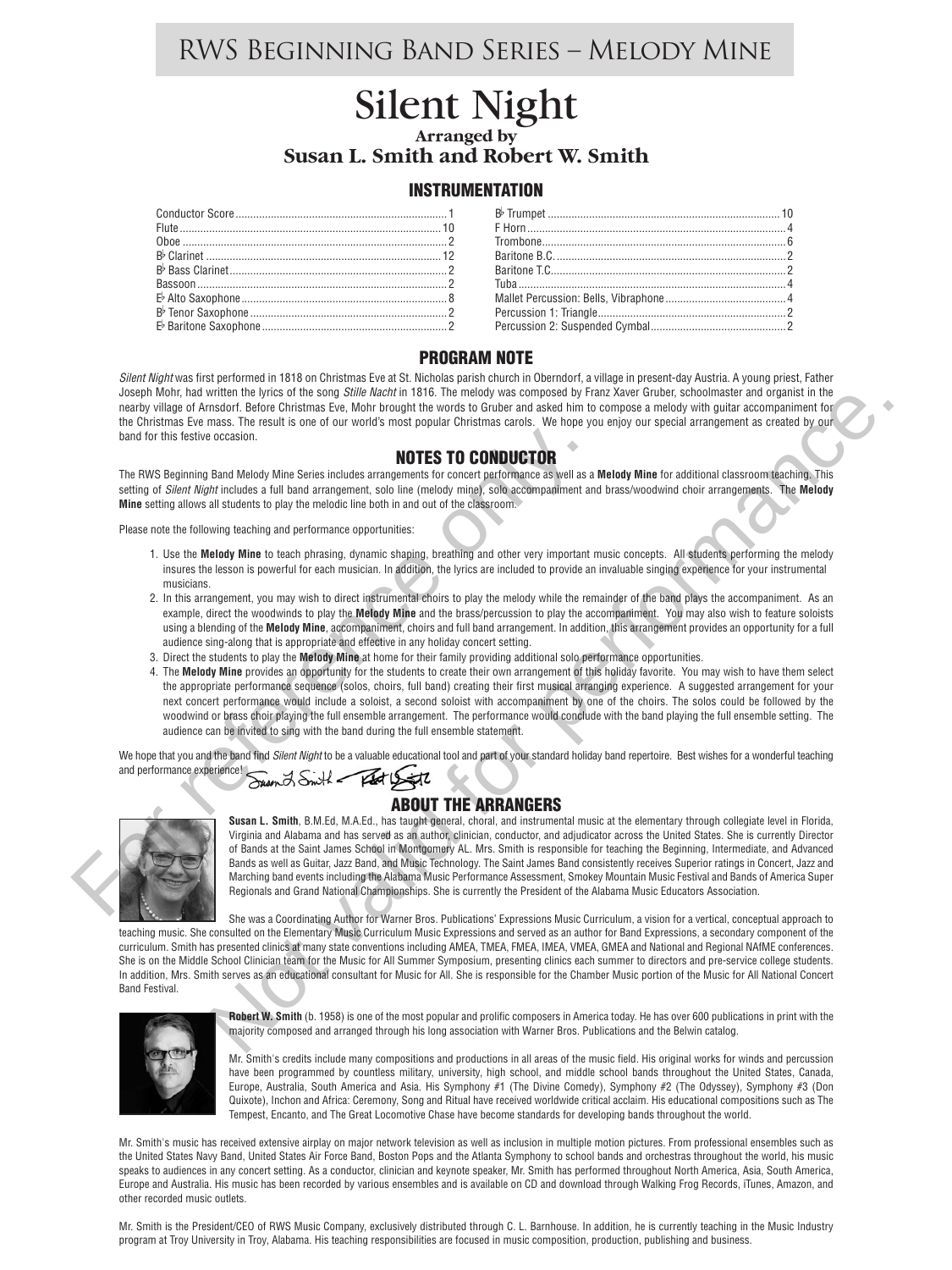#### RWS Beginning Band Series – Melody Mine

#### Silent Night **Arranged by**

#### **Susan L. Smith and Robert W. Smith**

#### **INSTRUMENTATION**

#### PROGRAM NOTE

*Silent Night* was first performed in 1818 on Christmas Eve at St. Nicholas parish church in Oberndorf, a village in present-day Austria. A young priest, Father Joseph Mohr, had written the lyrics of the song *Stille Nacht* in 1816. The melody was composed by Franz Xaver Gruber, schoolmaster and organist in the nearby village of Arnsdorf. Before Christmas Eve, Mohr brought the words to Gruber and asked him to compose a melody with guitar accompaniment for the Christmas Eve mass. The result is one of our world's most popular Christmas carols. We hope you enjoy our special arrangement as created by our band for this festive occasion.

#### NOTES TO CONDUCTOR

The RWS Beginning Band Melody Mine Series includes arrangements for concert performance as well as a **Melody Mine** for additional classroom teaching. This setting of *Silent Night* includes a full band arrangement, solo line (melody mine), solo accompaniment and brass/woodwind choir arrangements. The **Melody Mine** setting allows all students to play the melodic line both in and out of the classroom.

Please note the following teaching and performance opportunities:

- 1. Use the **Melody Mine** to teach phrasing, dynamic shaping, breathing and other very important music concepts. All students performing the melody insures the lesson is powerful for each musician. In addition, the lyrics are included to provide an invaluable singing experience for your instrumental musicians.
- 2. In this arrangement, you may wish to direct instrumental choirs to play the melody while the remainder of the band plays the accompaniment. As an example, direct the woodwinds to play the **Melody Mine** and the brass/percussion to play the accompaniment. You may also wish to feature soloists using a blending of the **Melody Mine**, accompaniment, choirs and full band arrangement. In addition, this arrangement provides an opportunity for a full audience sing-along that is appropriate and effective in any holiday concert setting.
- 3. Direct the students to play the **Melody Mine** at home for their family providing additional solo performance opportunities.
- 4. The **Melody Mine** provides an opportunity for the students to create their own arrangement of this holiday favorite. You may wish to have them select the appropriate performance sequence (solos, choirs, full band) creating their first musical arranging experience. A suggested arrangement for your next concert performance would include a soloist, a second soloist with accompaniment by one of the choirs. The solos could be followed by the woodwind or brass choir playing the full ensemble arrangement. The performance would conclude with the band playing the full ensemble setting. The audience can be invited to sing with the band during the full ensemble statement. band for this festive occasion.<br>
The RWS Beginning Band Melody Mine Series includes arrangements for concert performance as well as a M<br>
setting of *Silent Night* includes a tull band arrangement solo line (melody mine),

We hope that you and the band find *Silent Night* to be a valuable educational tool and part of your standard holiday band repertoire. Best wishes for a wonderful teaching

and performance experience!<br>
Swam & Swith



#### ABOUT THE ARRANGERS

**Susan L. Smith**, B.M.Ed, M.A.Ed., has taught general, choral, and instrumental music at the elementary through collegiate level in Florida, Virginia and Alabama and has served as an author, clinician, conductor, and adjudicator across the United States. She is currently Director of Bands at the Saint James School in Montgomery AL. Mrs. Smith is responsible for teaching the Beginning, Intermediate, and Advanced Bands as well as Guitar, Jazz Band, and Music Technology. The Saint James Band consistently receives Superior ratings in Concert, Jazz and Marching band events including the Alabama Music Performance Assessment, Smokey Mountain Music Festival and Bands of America Super Regionals and Grand National Championships. She is currently the President of the Alabama Music Educators Association.

She was a Coordinating Author for Warner Bros. Publications' Expressions Music Curriculum, a vision for a vertical, conceptual approach to teaching music. She consulted on the Elementary Music Curriculum Music Expressions and served as an author for Band Expressions, a secondary component of the curriculum. Smith has presented clinics at many state conventions including AMEA, TMEA, FMEA, IMEA, VMEA, GMEA and National and Regional NAfME conferences. She is on the Middle School Clinician team for the Music for All Summer Symposium, presenting clinics each summer to directors and pre-service college students. In addition, Mrs. Smith serves as an educational consultant for Music for All. She is responsible for the Chamber Music portion of the Music for All National Concert Band Festival. which the photon is one and the strength with the RIE in minister of the first and the strength with the minister of the strength with the strength with the strength with the strength with the strength with the strength w



**Robert W. Smith** (b. 1958) is one of the most popular and prolific composers in America today. He has over 600 publications in print with the majority composed and arranged through his long association with Warner Bros. Publications and the Belwin catalog.

Mr. Smith's credits include many compositions and productions in all areas of the music field. His original works for winds and percussion have been programmed by countless military, university, high school, and middle school bands throughout the United States, Canada, Europe, Australia, South America and Asia. His Symphony #1 (The Divine Comedy), Symphony #2 (The Odyssey), Symphony #3 (Don Quixote), Inchon and Africa: Ceremony, Song and Ritual have received worldwide critical acclaim. His educational compositions such as The Tempest, Encanto, and The Great Locomotive Chase have become standards for developing bands throughout the world.

Mr. Smith's music has received extensive airplay on major network television as well as inclusion in multiple motion pictures. From professional ensembles such as the United States Navy Band, United States Air Force Band, Boston Pops and the Atlanta Symphony to school bands and orchestras throughout the world, his music speaks to audiences in any concert setting. As a conductor, clinician and keynote speaker, Mr. Smith has performed throughout North America, Asia, South America, Europe and Australia. His music has been recorded by various ensembles and is available on CD and download through Walking Frog Records, iTunes, Amazon, and other recorded music outlets.

Mr. Smith is the President/CEO of RWS Music Company, exclusively distributed through C. L. Barnhouse. In addition, he is currently teaching in the Music Industry program at Troy University in Troy, Alabama. His teaching responsibilities are focused in music composition, production, publishing and business.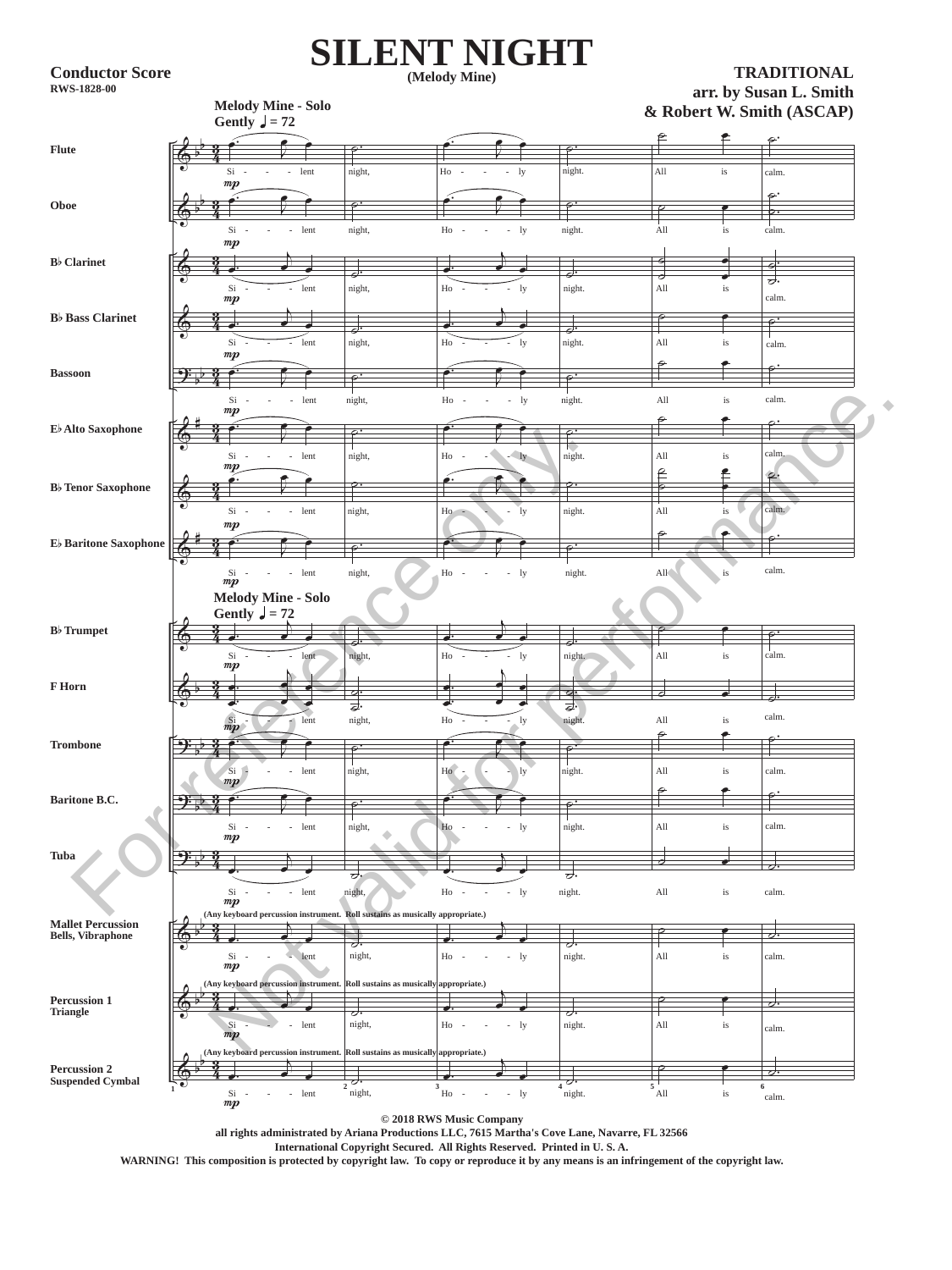### $\textbf{SILEN} \prod_{\text{(Medody Mine)}} \prod \textbf{GHT}$

**TRADITIONAL arr. by Susan L. Smith** 

|                                                                                                                                                                                  |                           |                                       |                           | (                                                                             |                                                     |                                        |                             |                          | arr. by Susan L. Smith            |
|----------------------------------------------------------------------------------------------------------------------------------------------------------------------------------|---------------------------|---------------------------------------|---------------------------|-------------------------------------------------------------------------------|-----------------------------------------------------|----------------------------------------|-----------------------------|--------------------------|-----------------------------------|
|                                                                                                                                                                                  |                           | Gently $J = 72$                       | <b>Melody Mine - Solo</b> |                                                                               |                                                     |                                        |                             |                          | & Robert W. Smith (ASCAP)         |
|                                                                                                                                                                                  |                           |                                       |                           |                                                                               |                                                     |                                        | ₽                           |                          |                                   |
| <b>Flute</b>                                                                                                                                                                     |                           |                                       |                           |                                                                               |                                                     | P                                      |                             |                          |                                   |
|                                                                                                                                                                                  |                           |                                       |                           |                                                                               |                                                     |                                        |                             |                          |                                   |
|                                                                                                                                                                                  |                           | $Si -$<br>$\sim$                      | - lent                    | night,                                                                        | Ho -<br>$-1y$                                       | night.                                 | $\mathop{\rm All}\nolimits$ | $\mathrm{i}\,\mathrm{s}$ | calm.                             |
| Oboe                                                                                                                                                                             |                           | mp                                    |                           |                                                                               |                                                     |                                        |                             |                          |                                   |
|                                                                                                                                                                                  |                           |                                       |                           | $\curvearrowright$ .                                                          |                                                     | $\overline{\rho}$ .                    | ρ                           |                          | $\frac{\partial}{\partial \cdot}$ |
|                                                                                                                                                                                  |                           |                                       |                           |                                                                               |                                                     |                                        |                             |                          |                                   |
|                                                                                                                                                                                  |                           | Si                                    | - lent                    | night,                                                                        | H <sub>o</sub><br>$-1y$<br>$\overline{\phantom{a}}$ | night.                                 | $\mathop{\rm All}\nolimits$ | is                       | calm.                             |
|                                                                                                                                                                                  |                           | mp                                    |                           |                                                                               |                                                     |                                        |                             |                          |                                   |
| <b>B</b> <sub>b</sub> Clarinet                                                                                                                                                   |                           |                                       |                           |                                                                               |                                                     |                                        | G                           |                          |                                   |
|                                                                                                                                                                                  | $\bm{\Theta}$             |                                       |                           |                                                                               |                                                     |                                        | ♂                           |                          | ₹                                 |
|                                                                                                                                                                                  |                           | $Si -$<br>$\overline{\phantom{a}}$    | - lent                    | night,                                                                        | Ho -<br>$-1y$                                       | night.                                 | $\mathop{\rm All}\nolimits$ | is                       | ₹.                                |
|                                                                                                                                                                                  |                           | mp                                    |                           |                                                                               |                                                     |                                        |                             |                          | calm.                             |
| <b>B</b> <sub>b</sub> Bass Clarinet                                                                                                                                              |                           |                                       |                           |                                                                               |                                                     |                                        |                             |                          |                                   |
|                                                                                                                                                                                  | $\bigcirc$                |                                       |                           |                                                                               |                                                     | $\overline{\partial}$                  | P                           |                          | $\rho^{\centerdot}$               |
|                                                                                                                                                                                  |                           | $Si$ -                                | $-$ lent                  | night,                                                                        | H <sub>o</sub><br>$-$ ly                            | night.                                 | $\mathop{\rm All}\nolimits$ | is                       | calm.                             |
|                                                                                                                                                                                  |                           | mp                                    |                           |                                                                               |                                                     |                                        |                             |                          |                                   |
| <b>Bassoon</b>                                                                                                                                                                   |                           |                                       |                           |                                                                               |                                                     |                                        | Р                           |                          | $\overrightarrow{f}$              |
|                                                                                                                                                                                  |                           |                                       |                           | $\overline{\rho}$ .                                                           |                                                     | $\overline{\rho}$ .                    |                             |                          |                                   |
|                                                                                                                                                                                  |                           |                                       |                           |                                                                               |                                                     |                                        |                             |                          |                                   |
|                                                                                                                                                                                  |                           | $Si -$<br>mp                          | - lent                    | night,                                                                        | Ho -<br>$-1y$<br>÷,                                 | night.                                 | All                         | is                       | calm.                             |
|                                                                                                                                                                                  |                           |                                       |                           |                                                                               |                                                     |                                        |                             |                          |                                   |
| $\mathop{\mathbf{E}\mathrm{\b}}\nolimits$ Alto Saxophone                                                                                                                         |                           |                                       |                           | o.                                                                            |                                                     | $\overline{\rho}$ .                    |                             |                          |                                   |
|                                                                                                                                                                                  |                           |                                       |                           |                                                                               |                                                     | Ю                                      |                             |                          |                                   |
| <b>B</b> b Tenor Saxophone                                                                                                                                                       |                           | $\mathrm{Si}$                         | - lent                    | night,                                                                        | $Ho -$<br>$-1y$                                     | night.                                 | $\mathop{\rm All}\nolimits$ | is                       | calm.                             |
|                                                                                                                                                                                  |                           | mp                                    |                           |                                                                               |                                                     |                                        | Ê                           | €                        |                                   |
|                                                                                                                                                                                  |                           |                                       |                           | $\overline{\mathcal{O}}$                                                      |                                                     | $\sim$                                 | Þ                           |                          | $\hat{f}$                         |
|                                                                                                                                                                                  | Ģ                         |                                       |                           |                                                                               |                                                     |                                        |                             |                          |                                   |
|                                                                                                                                                                                  |                           | $Si -$                                | - lent                    | night,                                                                        | $Ho -$<br>1y<br>$\sim$                              | night.                                 | $\mathop{\rm All}\nolimits$ | is                       | calm.                             |
|                                                                                                                                                                                  |                           | $\boldsymbol{m}$                      |                           |                                                                               |                                                     |                                        |                             |                          |                                   |
| Eb Baritone Saxophone                                                                                                                                                            |                           |                                       |                           |                                                                               |                                                     |                                        | P                           |                          |                                   |
|                                                                                                                                                                                  |                           |                                       |                           | o.                                                                            |                                                     | $\overline{\rho}$                      |                             |                          |                                   |
|                                                                                                                                                                                  |                           |                                       |                           |                                                                               |                                                     |                                        |                             |                          | calm.                             |
|                                                                                                                                                                                  |                           | $\stackrel{\rm Si}{\it mp}$<br>$\sim$ | - lent                    | night,                                                                        | H <sub>0</sub><br>$-1y$                             | night.                                 | All                         | $\mathrm{i}\mathrm{s}$   |                                   |
|                                                                                                                                                                                  |                           |                                       |                           |                                                                               |                                                     |                                        |                             |                          |                                   |
|                                                                                                                                                                                  |                           |                                       | <b>Melody Mine - Solo</b> |                                                                               |                                                     |                                        |                             |                          |                                   |
|                                                                                                                                                                                  |                           | Gently $J = 72$                       |                           |                                                                               |                                                     |                                        |                             |                          |                                   |
| $\mathbf{B}\flat$ Trumpet                                                                                                                                                        |                           |                                       |                           |                                                                               |                                                     |                                        | Θ                           |                          | $\overline{\rho}$ .               |
|                                                                                                                                                                                  | $\bm{\odot}$<br>$\bullet$ |                                       |                           |                                                                               |                                                     |                                        |                             |                          |                                   |
|                                                                                                                                                                                  |                           | Si                                    | - lent                    | night,                                                                        | H <sub>o</sub><br>- $ly$                            | night.                                 | $\mathop{\rm All}\nolimits$ | is                       | calm.                             |
|                                                                                                                                                                                  |                           | mp                                    |                           |                                                                               |                                                     |                                        |                             |                          |                                   |
| F Horn                                                                                                                                                                           |                           |                                       |                           |                                                                               |                                                     |                                        |                             |                          |                                   |
|                                                                                                                                                                                  |                           |                                       |                           | d.                                                                            |                                                     | ক                                      | G                           |                          | ₫                                 |
|                                                                                                                                                                                  |                           |                                       |                           | ₹.                                                                            |                                                     | बं                                     |                             |                          |                                   |
|                                                                                                                                                                                  |                           | $\stackrel{\text{Si}}{\text{mp}}$     | lent<br>۸                 | night,                                                                        | Ho<br>$-1y$<br>$\sim$                               | night.                                 | $\mathop{\rm All}\nolimits$ | is                       | calm.                             |
|                                                                                                                                                                                  |                           |                                       |                           |                                                                               |                                                     |                                        | ₽                           |                          | 0.                                |
| Trombone                                                                                                                                                                         |                           |                                       |                           |                                                                               |                                                     |                                        |                             |                          | ±                                 |
|                                                                                                                                                                                  |                           |                                       |                           |                                                                               |                                                     |                                        |                             |                          |                                   |
|                                                                                                                                                                                  |                           | Si.                                   | - lent                    | night,                                                                        | $Ho -$                                              | ly<br>night.                           | All                         | is                       | calm.                             |
|                                                                                                                                                                                  |                           | mp                                    |                           |                                                                               |                                                     |                                        | ₽                           |                          |                                   |
|                                                                                                                                                                                  |                           |                                       |                           | $\overline{\rho}$ .                                                           |                                                     |                                        |                             |                          | ₽                                 |
|                                                                                                                                                                                  |                           |                                       |                           |                                                                               |                                                     |                                        |                             |                          |                                   |
|                                                                                                                                                                                  |                           |                                       |                           |                                                                               |                                                     | $\overline{\rho}$ .                    |                             |                          |                                   |
|                                                                                                                                                                                  |                           | Si                                    | - lent                    | night,                                                                        | Ho<br>ly                                            | night.                                 | All                         | is                       | calm.                             |
|                                                                                                                                                                                  |                           | mp                                    |                           |                                                                               |                                                     |                                        |                             |                          |                                   |
|                                                                                                                                                                                  |                           |                                       |                           |                                                                               |                                                     |                                        |                             |                          |                                   |
|                                                                                                                                                                                  |                           |                                       |                           |                                                                               |                                                     |                                        | ᢦ                           |                          |                                   |
|                                                                                                                                                                                  |                           |                                       |                           | ♂.                                                                            |                                                     | ォ.                                     |                             |                          |                                   |
|                                                                                                                                                                                  |                           | $Si -$                                | - lent                    | night,                                                                        | Ho -<br>$-1y$                                       | night.                                 | All                         | is                       | calm.                             |
|                                                                                                                                                                                  |                           | mp                                    |                           |                                                                               |                                                     |                                        |                             |                          |                                   |
|                                                                                                                                                                                  |                           |                                       |                           | (Any keyboard percussion instrument. Roll sustains as musically appropriate.) |                                                     |                                        |                             |                          |                                   |
|                                                                                                                                                                                  |                           |                                       |                           |                                                                               |                                                     |                                        | Ο                           |                          | ∂.                                |
|                                                                                                                                                                                  |                           |                                       |                           |                                                                               |                                                     |                                        |                             |                          |                                   |
|                                                                                                                                                                                  |                           | $Si -$                                | lent<br>ਵ                 | night,                                                                        | Ho -<br>$-1y$<br>$\overline{\phantom{a}}$           | night.                                 | All                         | is                       | calm.                             |
|                                                                                                                                                                                  |                           | mp                                    |                           |                                                                               |                                                     |                                        |                             |                          |                                   |
|                                                                                                                                                                                  |                           |                                       |                           | (Any keyboard percussion instrument. Roll sustains as musically appropriate.) |                                                     |                                        |                             |                          |                                   |
|                                                                                                                                                                                  |                           |                                       |                           |                                                                               |                                                     |                                        |                             |                          |                                   |
|                                                                                                                                                                                  |                           |                                       |                           |                                                                               |                                                     |                                        |                             |                          | J.                                |
|                                                                                                                                                                                  |                           |                                       | $\overline{\phantom{a}}$  |                                                                               | $\overline{\phantom{a}}$                            |                                        |                             |                          |                                   |
|                                                                                                                                                                                  |                           | Si<br>mp                              | lent                      | night,                                                                        | $-1y$<br>Ho -                                       | night.                                 | All                         | is                       | calm.                             |
|                                                                                                                                                                                  |                           |                                       |                           |                                                                               |                                                     |                                        |                             |                          |                                   |
|                                                                                                                                                                                  |                           |                                       |                           | (Any keyboard percussion instrument. Roll sustains as musically appropriate.) |                                                     |                                        |                             |                          |                                   |
|                                                                                                                                                                                  |                           |                                       |                           |                                                                               |                                                     |                                        | Ο                           |                          | d.                                |
| <b>Baritone B.C.</b><br>Tuba<br><b>Mallet Percussion</b><br><b>Bells, Vibraphone</b><br><b>Percussion 1</b><br><b>Triangle</b><br><b>Percussion 2</b><br><b>Suspended Cymbal</b> |                           | Si                                    | - lent                    | ♂.<br>$\overline{2}$<br>night,                                                | $^3\rm{Ho}$<br>$-1y$<br>$\sim$                      | σ<br>$\overline{\mathbf{4}}$<br>night. | 5<br>All                    | is                       | 6                                 |

**all rights administrated by Ariana Productions LLC, 7615 Martha's Cove Lane, Navarre, FL 32566**

**International Copyright Secured. All Rights Reserved. Printed in U. S. A.**

**WARNING! This composition is protected by copyright law. To copy or reproduce it by any means is an infringement of the copyright law.**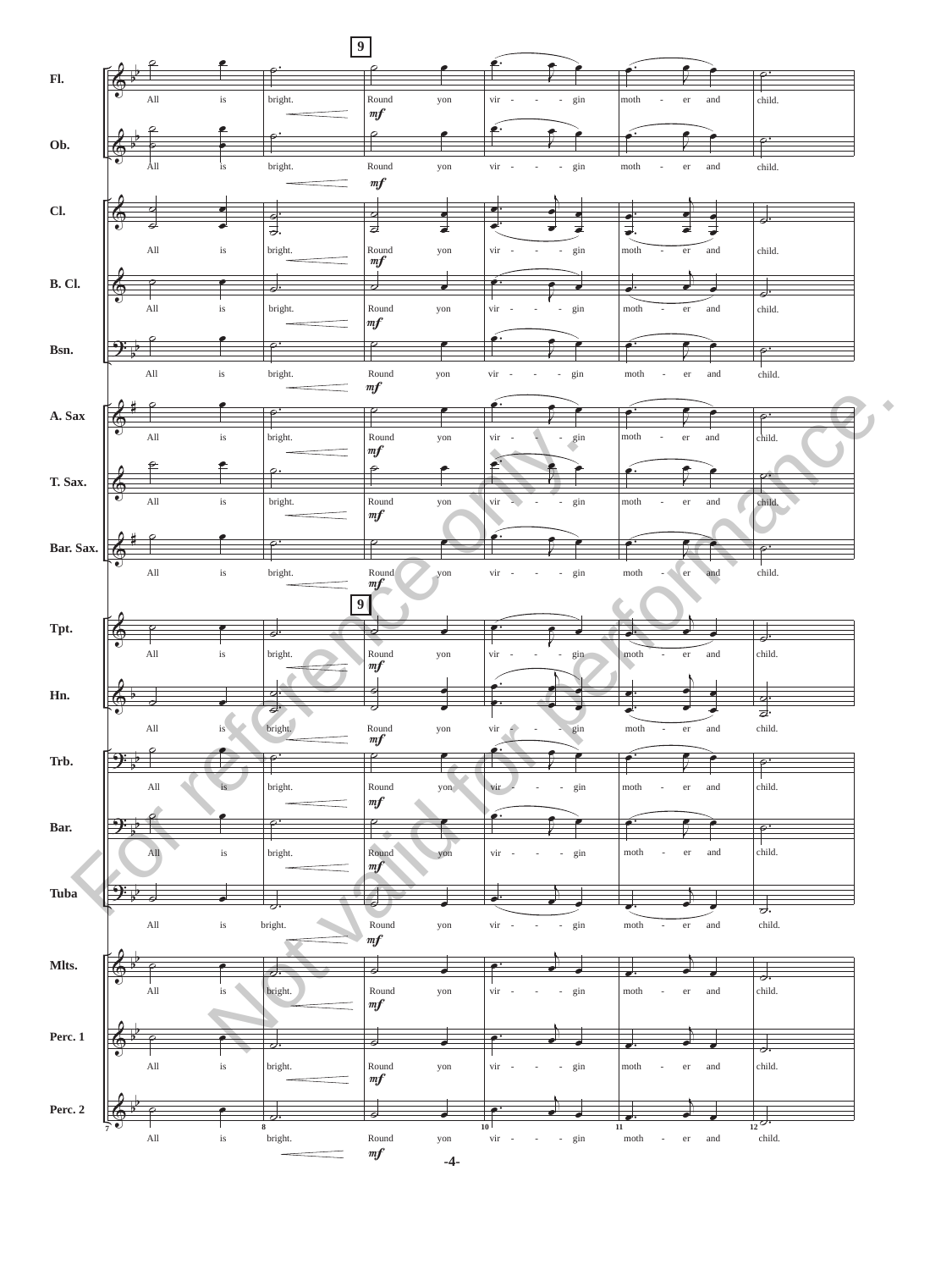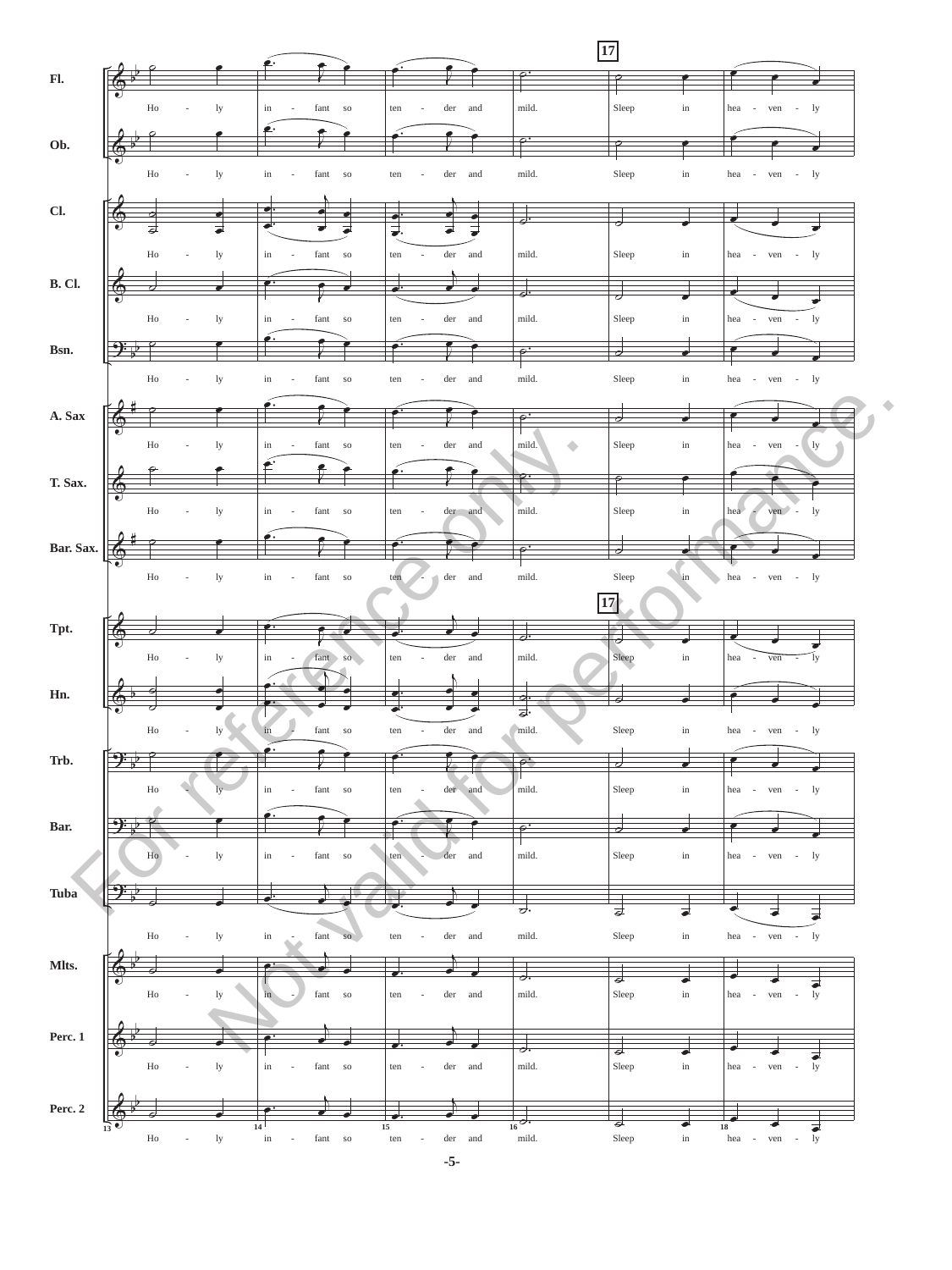

 $-5-$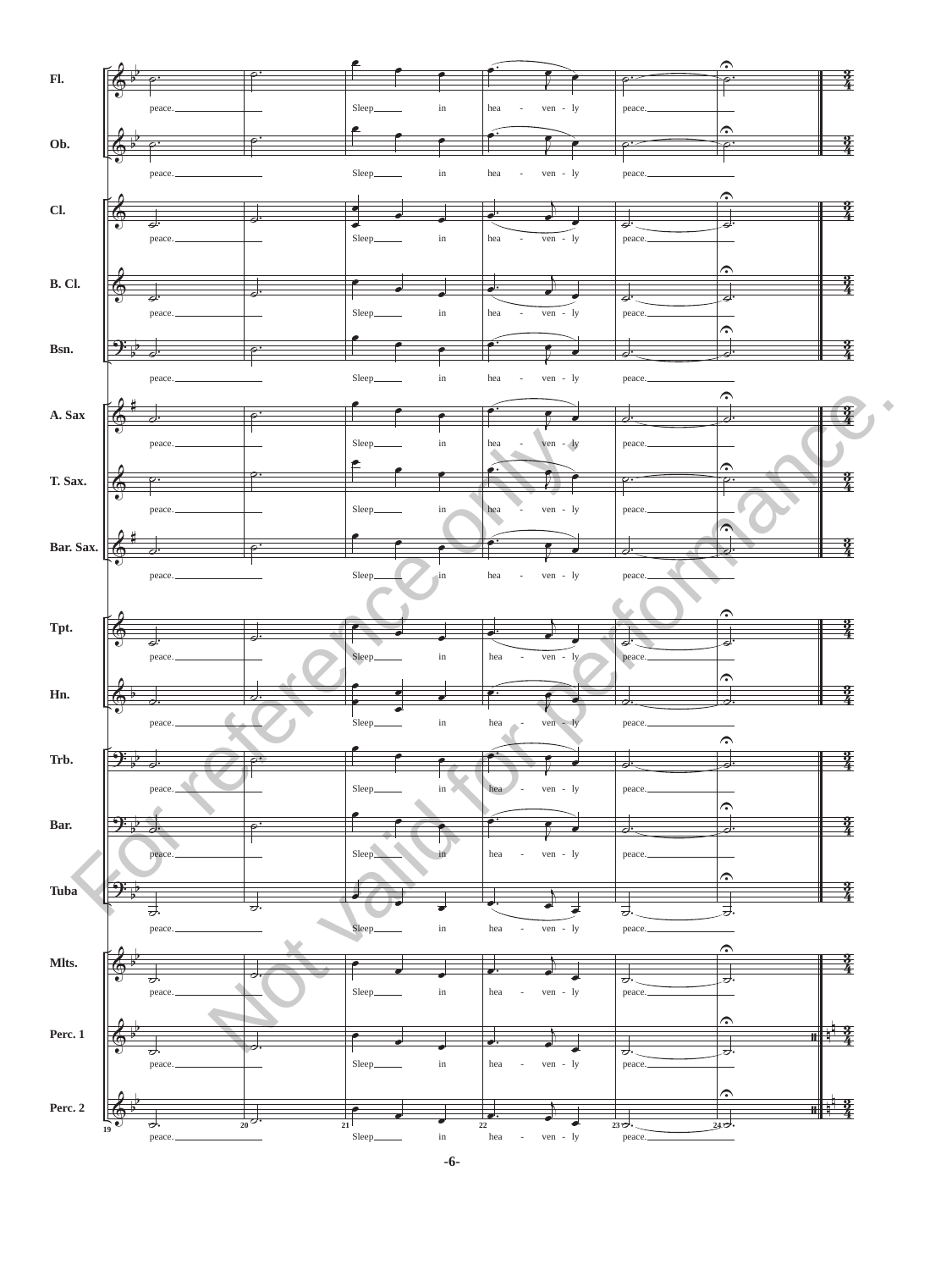

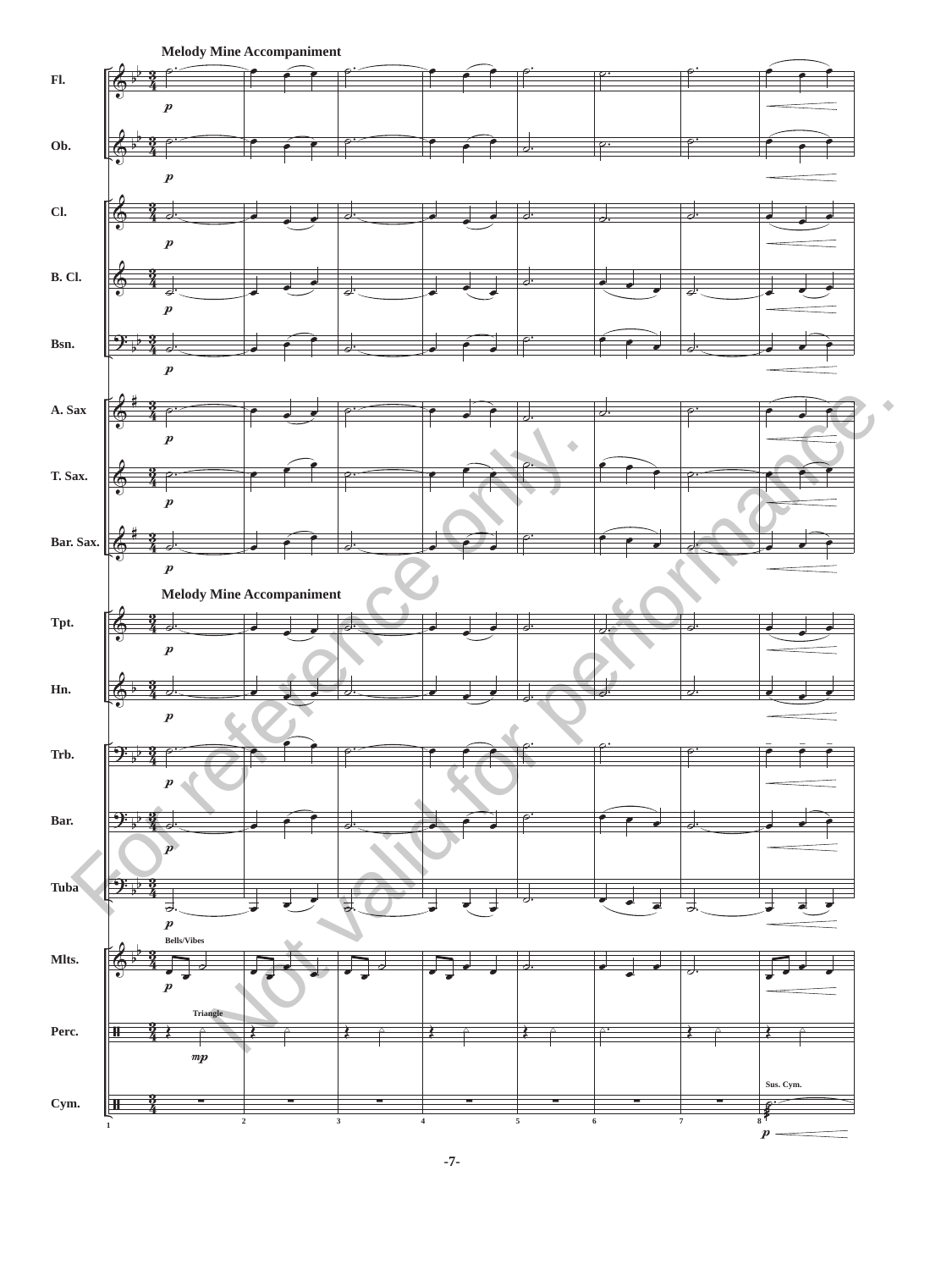

**-7-**

$$
f_{\rm{max}}
$$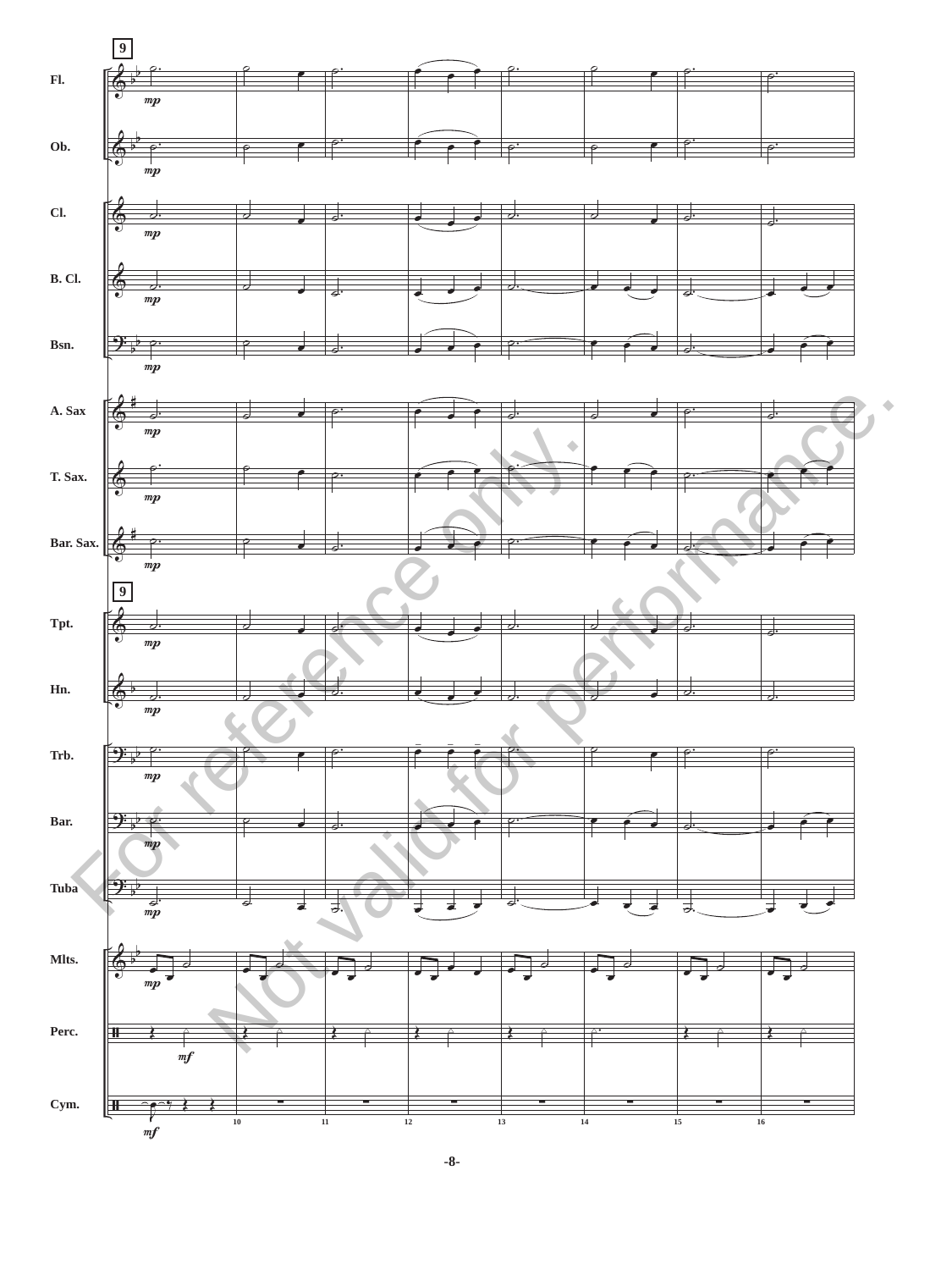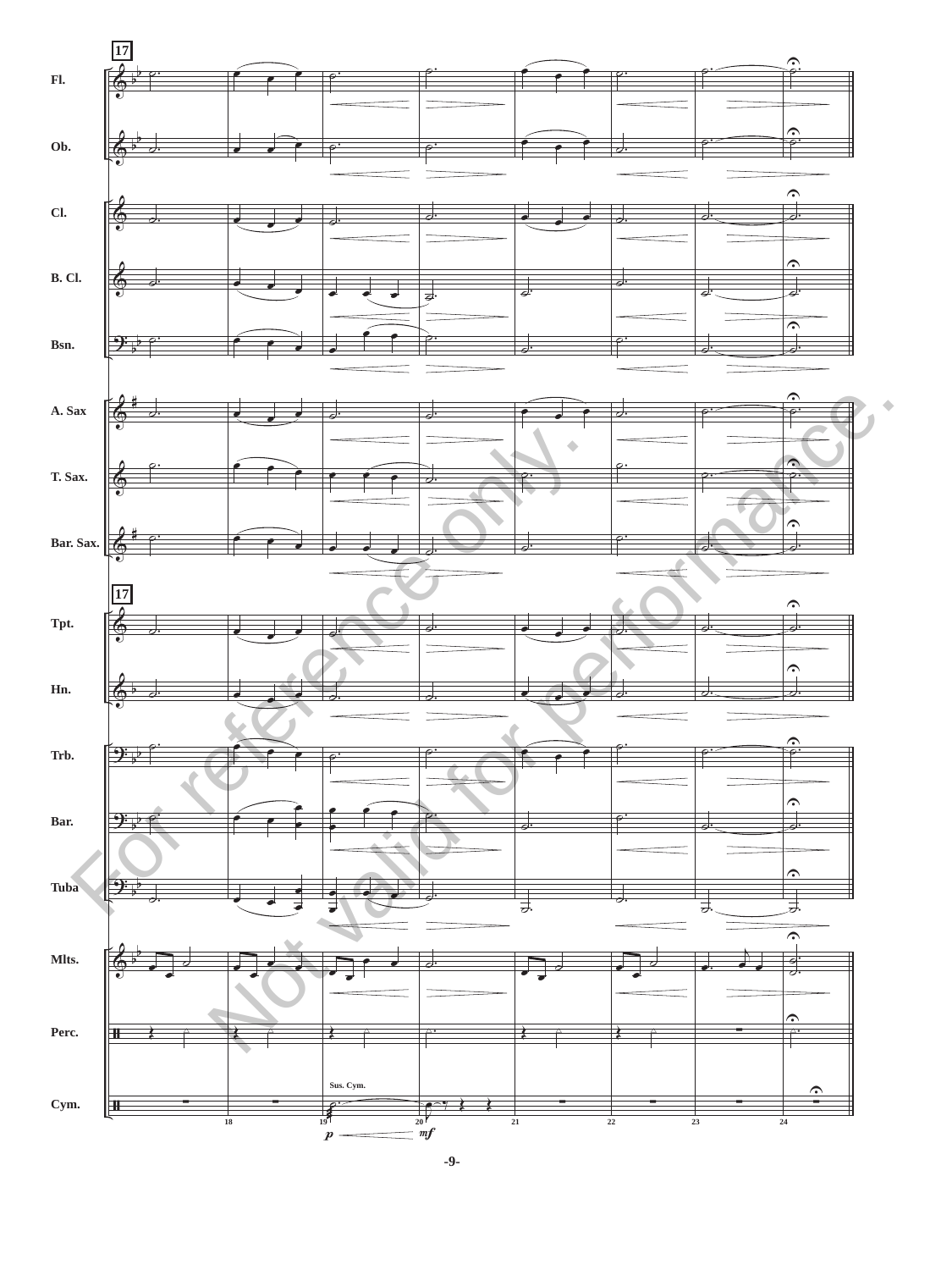

$$
\cdot 9\cdot
$$

$$
f_{\rm{max}}
$$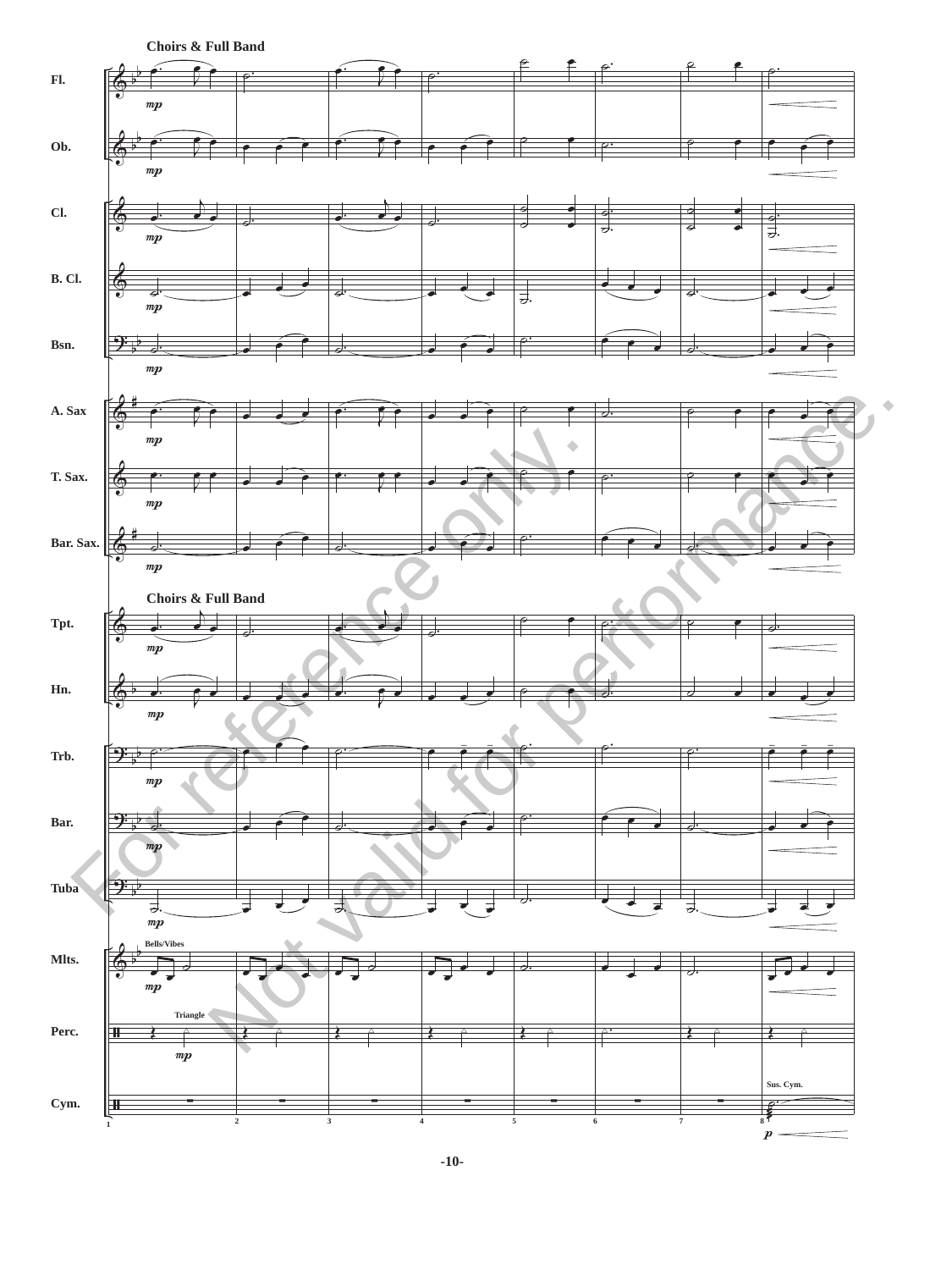

**-10-**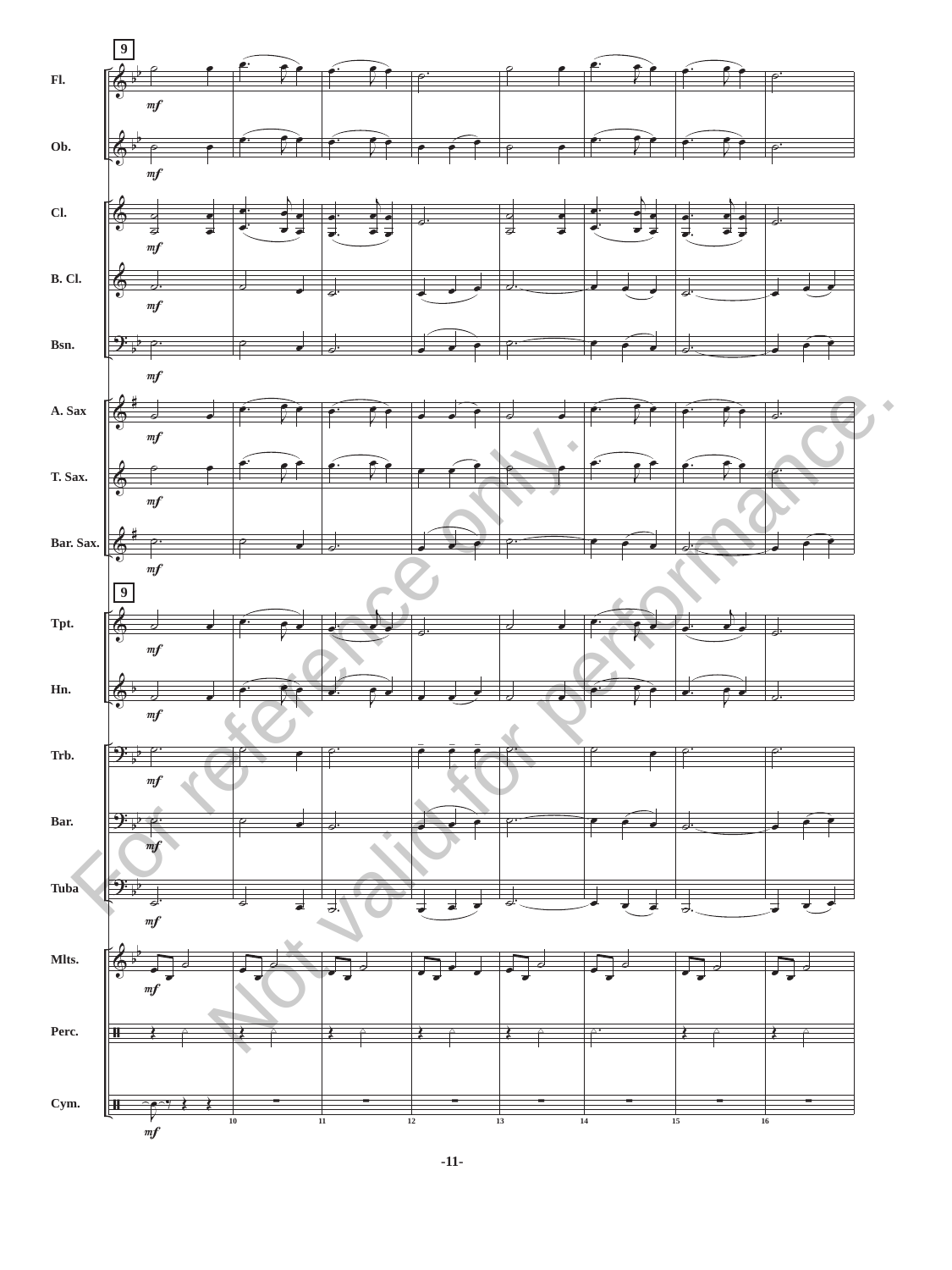

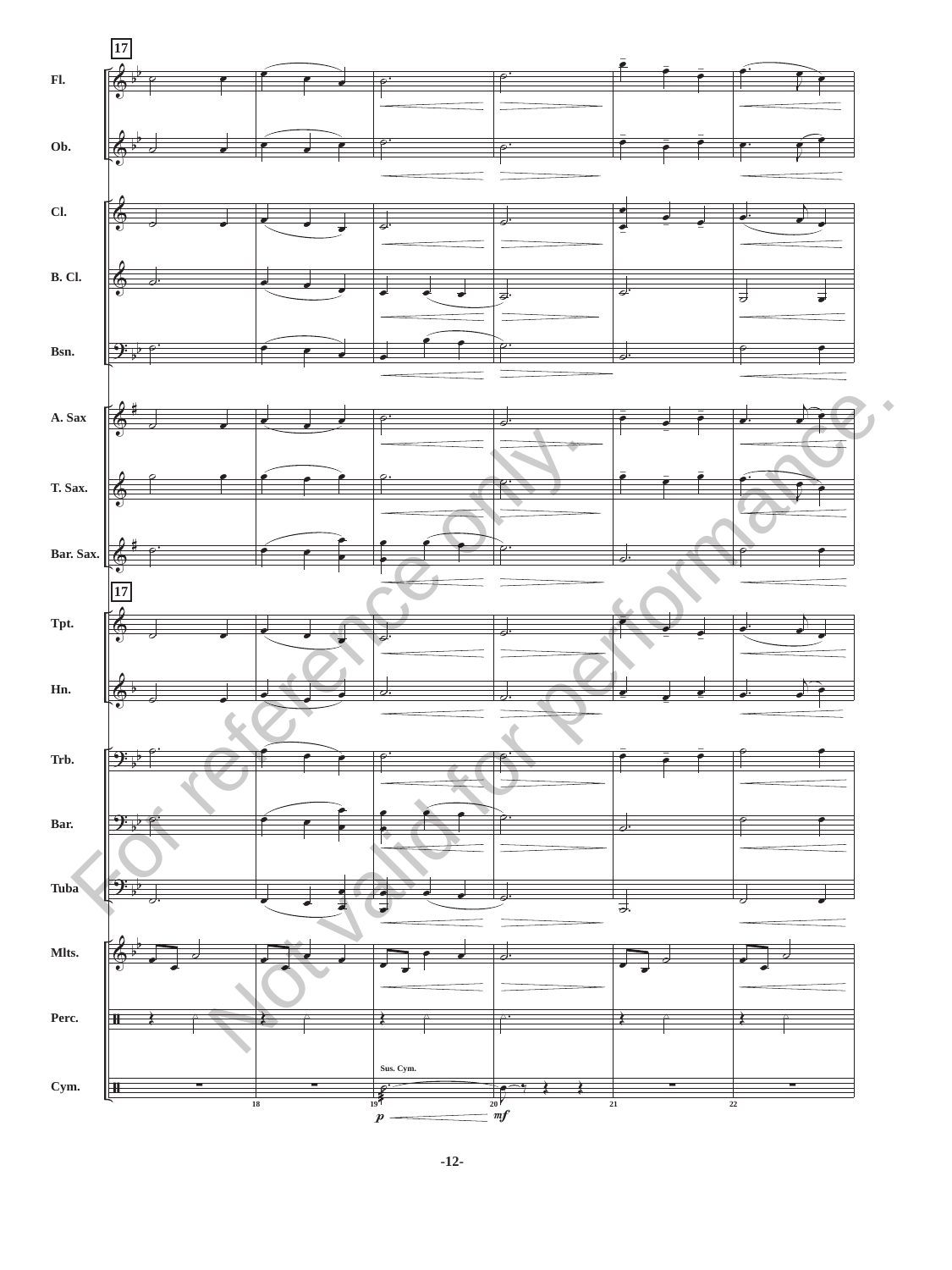

**-12-**